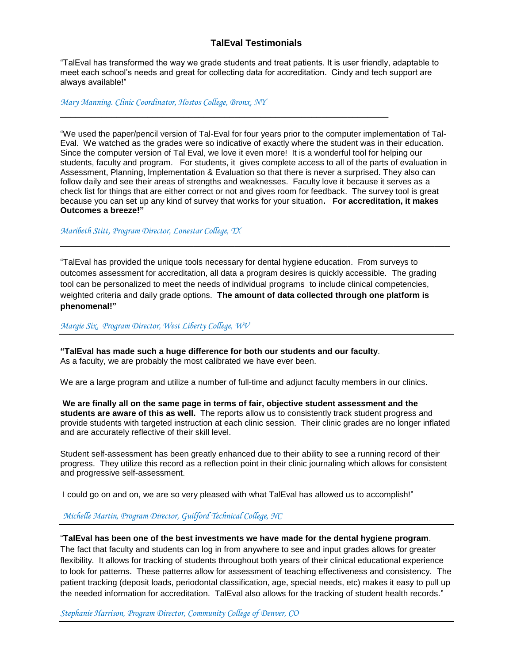## **TalEval Testimonials**

"TalEval has transformed the way we grade students and treat patients. It is user friendly, adaptable to meet each school's needs and great for collecting data for accreditation. Cindy and tech support are always available!"

\_\_\_\_\_\_\_\_\_\_\_\_\_\_\_\_\_\_\_\_\_\_\_\_\_\_\_\_\_\_\_\_\_\_\_\_\_\_\_\_\_\_\_\_\_\_\_\_\_\_\_\_\_\_\_\_\_\_\_\_\_\_\_\_

*Mary Manning. Clinic Coordinator, Hostos College, Bronx, NY* 

"We used the paper/pencil version of Tal-Eval for four years prior to the computer implementation of Tal-Eval. We watched as the grades were so indicative of exactly where the student was in their education. Since the computer version of Tal Eval, we love it even more! It is a wonderful tool for helping our students, faculty and program. For students, it gives complete access to all of the parts of evaluation in Assessment, Planning, Implementation & Evaluation so that there is never a surprised. They also can follow daily and see their areas of strengths and weaknesses. Faculty love it because it serves as a check list for things that are either correct or not and gives room for feedback. The survey tool is great because you can set up any kind of survey that works for your situation**. For accreditation, it makes Outcomes a breeze!"**

*Maribeth Stitt, Program Director, Lonestar College, TX*

"TalEval has provided the unique tools necessary for dental hygiene education. From surveys to outcomes assessment for accreditation, all data a program desires is quickly accessible. The grading tool can be personalized to meet the needs of individual programs to include clinical competencies, weighted criteria and daily grade options. **The amount of data collected through one platform is phenomenal!"**

\_\_\_\_\_\_\_\_\_\_\_\_\_\_\_\_\_\_\_\_\_\_\_\_\_\_\_\_\_\_\_\_\_\_\_\_\_\_\_\_\_\_\_\_\_\_\_\_\_\_\_\_\_\_\_\_\_\_\_\_\_\_\_\_\_\_\_\_\_\_\_\_\_\_\_\_

*Margie Six, Program Director, West Liberty College, WV*

**"TalEval has made such a huge difference for both our students and our faculty**. As a faculty, we are probably the most calibrated we have ever been.

We are a large program and utilize a number of full-time and adjunct faculty members in our clinics.

**We are finally all on the same page in terms of fair, objective student assessment and the students are aware of this as well.** The reports allow us to consistently track student progress and provide students with targeted instruction at each clinic session. Their clinic grades are no longer inflated and are accurately reflective of their skill level.

Student self-assessment has been greatly enhanced due to their ability to see a running record of their progress. They utilize this record as a reflection point in their clinic journaling which allows for consistent and progressive self-assessment.

I could go on and on, we are so very pleased with what TalEval has allowed us to accomplish!"

*Michelle Martin, Program Director, Guilford Technical College, NC*

## "**TalEval has been one of the best investments we have made for the dental hygiene program**.

The fact that faculty and students can log in from anywhere to see and input grades allows for greater flexibility. It allows for tracking of students throughout both years of their clinical educational experience to look for patterns. These patterns allow for assessment of teaching effectiveness and consistency. The patient tracking (deposit loads, periodontal classification, age, special needs, etc) makes it easy to pull up the needed information for accreditation. TalEval also allows for the tracking of student health records."

*Stephanie Harrison, Program Director, Community College of Denver, CO*